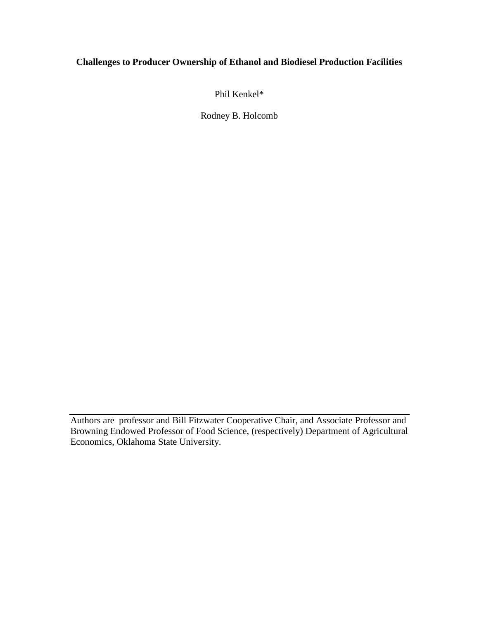# **Challenges to Producer Ownership of Ethanol and Biodiesel Production Facilities**

Phil Kenkel\*

Rodney B. Holcomb

Authors are professor and Bill Fitzwater Cooperative Chair, and Associate Professor and Browning Endowed Professor of Food Science, (respectively) Department of Agricultural Economics, Oklahoma State University.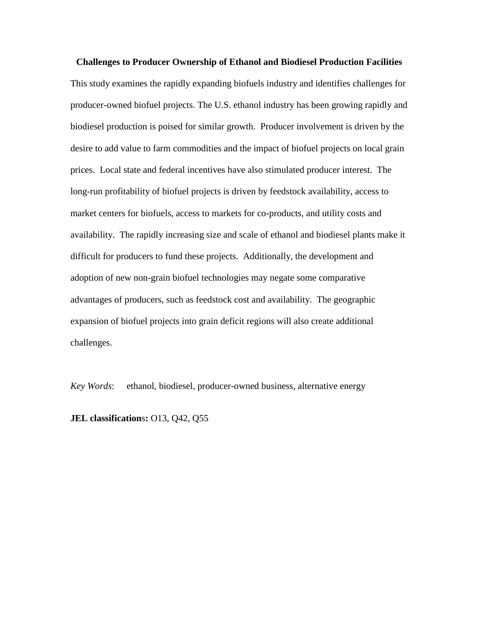**Challenges to Producer Ownership of Ethanol and Biodiesel Production Facilities** This study examines the rapidly expanding biofuels industry and identifies challenges for producer-owned biofuel projects. The U.S. ethanol industry has been growing rapidly and biodiesel production is poised for similar growth. Producer involvement is driven by the desire to add value to farm commodities and the impact of biofuel projects on local grain prices. Local state and federal incentives have also stimulated producer interest. The long-run profitability of biofuel projects is driven by feedstock availability, access to market centers for biofuels, access to markets for co-products, and utility costs and availability. The rapidly increasing size and scale of ethanol and biodiesel plants make it difficult for producers to fund these projects. Additionally, the development and adoption of new non-grain biofuel technologies may negate some comparative advantages of producers, such as feedstock cost and availability. The geographic expansion of biofuel projects into grain deficit regions will also create additional challenges.

*Key Words*: ethanol, biodiesel, producer-owned business, alternative energy

**JEL classification**s**:** O13, Q42, Q55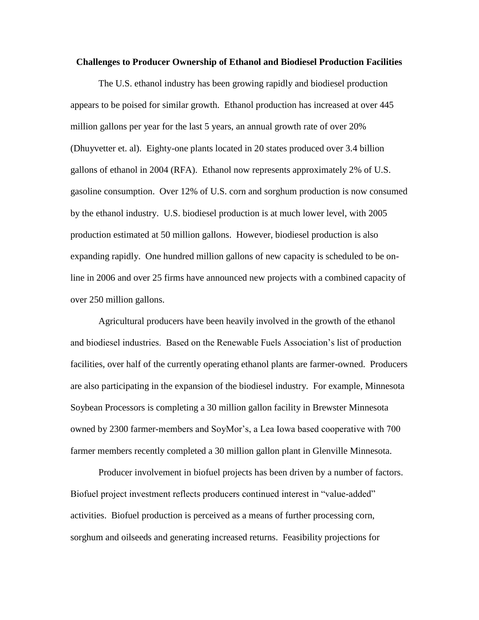#### **Challenges to Producer Ownership of Ethanol and Biodiesel Production Facilities**

The U.S. ethanol industry has been growing rapidly and biodiesel production appears to be poised for similar growth. Ethanol production has increased at over 445 million gallons per year for the last 5 years, an annual growth rate of over 20% (Dhuyvetter et. al). Eighty-one plants located in 20 states produced over 3.4 billion gallons of ethanol in 2004 (RFA). Ethanol now represents approximately 2% of U.S. gasoline consumption. Over 12% of U.S. corn and sorghum production is now consumed by the ethanol industry. U.S. biodiesel production is at much lower level, with 2005 production estimated at 50 million gallons. However, biodiesel production is also expanding rapidly. One hundred million gallons of new capacity is scheduled to be online in 2006 and over 25 firms have announced new projects with a combined capacity of over 250 million gallons.

Agricultural producers have been heavily involved in the growth of the ethanol and biodiesel industries. Based on the Renewable Fuels Association's list of production facilities, over half of the currently operating ethanol plants are farmer-owned. Producers are also participating in the expansion of the biodiesel industry. For example, Minnesota Soybean Processors is completing a 30 million gallon facility in Brewster Minnesota owned by 2300 farmer-members and SoyMor's, a Lea Iowa based cooperative with 700 farmer members recently completed a 30 million gallon plant in Glenville Minnesota.

Producer involvement in biofuel projects has been driven by a number of factors. Biofuel project investment reflects producers continued interest in "value-added" activities. Biofuel production is perceived as a means of further processing corn, sorghum and oilseeds and generating increased returns. Feasibility projections for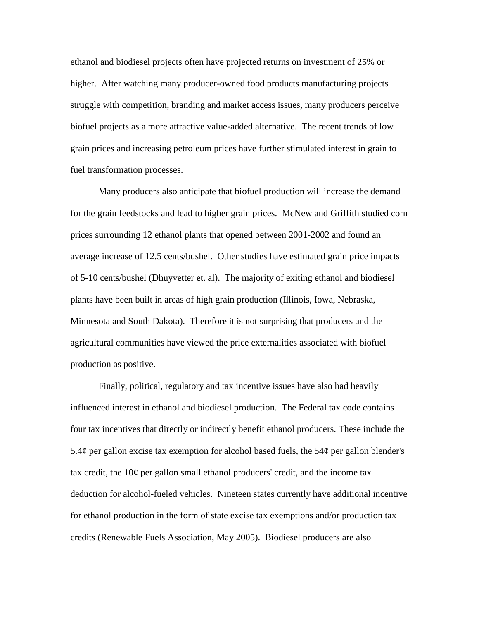ethanol and biodiesel projects often have projected returns on investment of 25% or higher. After watching many producer-owned food products manufacturing projects struggle with competition, branding and market access issues, many producers perceive biofuel projects as a more attractive value-added alternative. The recent trends of low grain prices and increasing petroleum prices have further stimulated interest in grain to fuel transformation processes.

Many producers also anticipate that biofuel production will increase the demand for the grain feedstocks and lead to higher grain prices. McNew and Griffith studied corn prices surrounding 12 ethanol plants that opened between 2001-2002 and found an average increase of 12.5 cents/bushel. Other studies have estimated grain price impacts of 5-10 cents/bushel (Dhuyvetter et. al). The majority of exiting ethanol and biodiesel plants have been built in areas of high grain production (Illinois, Iowa, Nebraska, Minnesota and South Dakota). Therefore it is not surprising that producers and the agricultural communities have viewed the price externalities associated with biofuel production as positive.

Finally, political, regulatory and tax incentive issues have also had heavily influenced interest in ethanol and biodiesel production. The Federal tax code contains four tax incentives that directly or indirectly benefit ethanol producers. These include the 5.4 $\phi$  per gallon excise tax exemption for alcohol based fuels, the 54 $\phi$  per gallon blender's tax credit, the 10¢ per gallon small ethanol producers' credit, and the income tax deduction for alcohol-fueled vehicles. Nineteen states currently have additional incentive for ethanol production in the form of state excise tax exemptions and/or production tax credits (Renewable Fuels Association, May 2005). Biodiesel producers are also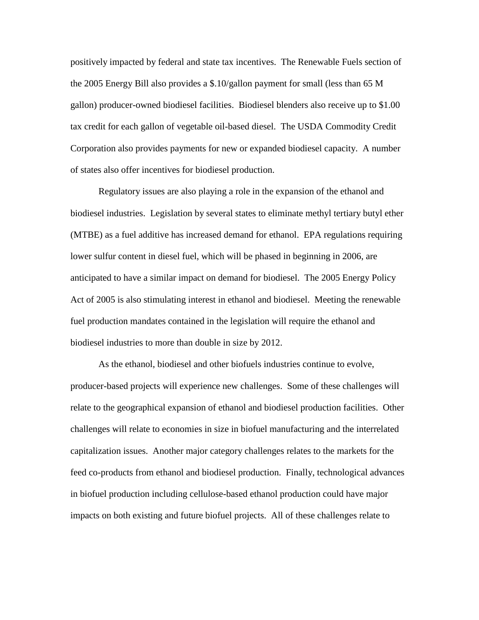positively impacted by federal and state tax incentives. The Renewable Fuels section of the 2005 Energy Bill also provides a \$.10/gallon payment for small (less than 65 M gallon) producer-owned biodiesel facilities. Biodiesel blenders also receive up to \$1.00 tax credit for each gallon of vegetable oil-based diesel. The USDA Commodity Credit Corporation also provides payments for new or expanded biodiesel capacity. A number of states also offer incentives for biodiesel production.

Regulatory issues are also playing a role in the expansion of the ethanol and biodiesel industries. Legislation by several states to eliminate methyl tertiary butyl ether (MTBE) as a fuel additive has increased demand for ethanol. EPA regulations requiring lower sulfur content in diesel fuel, which will be phased in beginning in 2006, are anticipated to have a similar impact on demand for biodiesel. The 2005 Energy Policy Act of 2005 is also stimulating interest in ethanol and biodiesel. Meeting the renewable fuel production mandates contained in the legislation will require the ethanol and biodiesel industries to more than double in size by 2012.

As the ethanol, biodiesel and other biofuels industries continue to evolve, producer-based projects will experience new challenges. Some of these challenges will relate to the geographical expansion of ethanol and biodiesel production facilities. Other challenges will relate to economies in size in biofuel manufacturing and the interrelated capitalization issues. Another major category challenges relates to the markets for the feed co-products from ethanol and biodiesel production. Finally, technological advances in biofuel production including cellulose-based ethanol production could have major impacts on both existing and future biofuel projects. All of these challenges relate to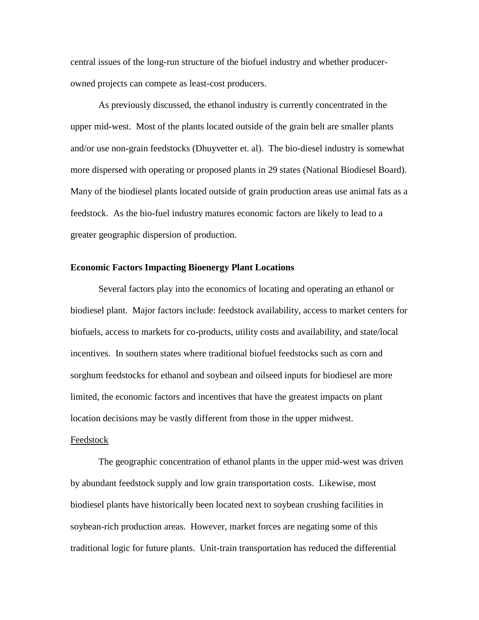central issues of the long-run structure of the biofuel industry and whether producerowned projects can compete as least-cost producers.

As previously discussed, the ethanol industry is currently concentrated in the upper mid-west. Most of the plants located outside of the grain belt are smaller plants and/or use non-grain feedstocks (Dhuyvetter et. al). The bio-diesel industry is somewhat more dispersed with operating or proposed plants in 29 states (National Biodiesel Board). Many of the biodiesel plants located outside of grain production areas use animal fats as a feedstock. As the bio-fuel industry matures economic factors are likely to lead to a greater geographic dispersion of production.

### **Economic Factors Impacting Bioenergy Plant Locations**

Several factors play into the economics of locating and operating an ethanol or biodiesel plant. Major factors include: feedstock availability, access to market centers for biofuels, access to markets for co-products, utility costs and availability, and state/local incentives. In southern states where traditional biofuel feedstocks such as corn and sorghum feedstocks for ethanol and soybean and oilseed inputs for biodiesel are more limited, the economic factors and incentives that have the greatest impacts on plant location decisions may be vastly different from those in the upper midwest.

# Feedstock

The geographic concentration of ethanol plants in the upper mid-west was driven by abundant feedstock supply and low grain transportation costs. Likewise, most biodiesel plants have historically been located next to soybean crushing facilities in soybean-rich production areas. However, market forces are negating some of this traditional logic for future plants. Unit-train transportation has reduced the differential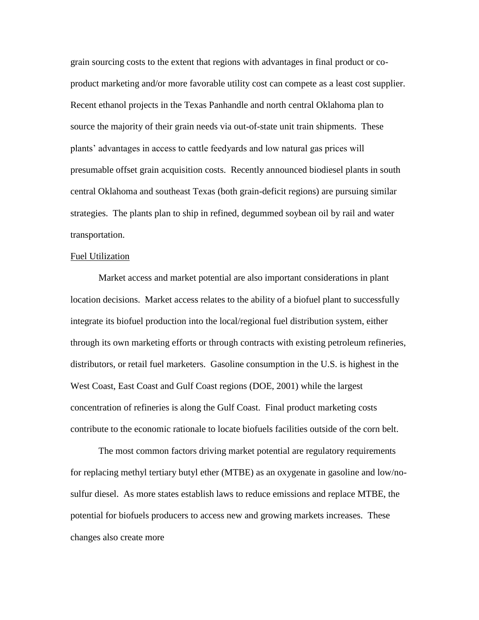grain sourcing costs to the extent that regions with advantages in final product or coproduct marketing and/or more favorable utility cost can compete as a least cost supplier. Recent ethanol projects in the Texas Panhandle and north central Oklahoma plan to source the majority of their grain needs via out-of-state unit train shipments. These plants' advantages in access to cattle feedyards and low natural gas prices will presumable offset grain acquisition costs. Recently announced biodiesel plants in south central Oklahoma and southeast Texas (both grain-deficit regions) are pursuing similar strategies. The plants plan to ship in refined, degummed soybean oil by rail and water transportation.

#### Fuel Utilization

Market access and market potential are also important considerations in plant location decisions. Market access relates to the ability of a biofuel plant to successfully integrate its biofuel production into the local/regional fuel distribution system, either through its own marketing efforts or through contracts with existing petroleum refineries, distributors, or retail fuel marketers. Gasoline consumption in the U.S. is highest in the West Coast, East Coast and Gulf Coast regions (DOE, 2001) while the largest concentration of refineries is along the Gulf Coast. Final product marketing costs contribute to the economic rationale to locate biofuels facilities outside of the corn belt.

The most common factors driving market potential are regulatory requirements for replacing methyl tertiary butyl ether (MTBE) as an oxygenate in gasoline and low/nosulfur diesel. As more states establish laws to reduce emissions and replace MTBE, the potential for biofuels producers to access new and growing markets increases. These changes also create more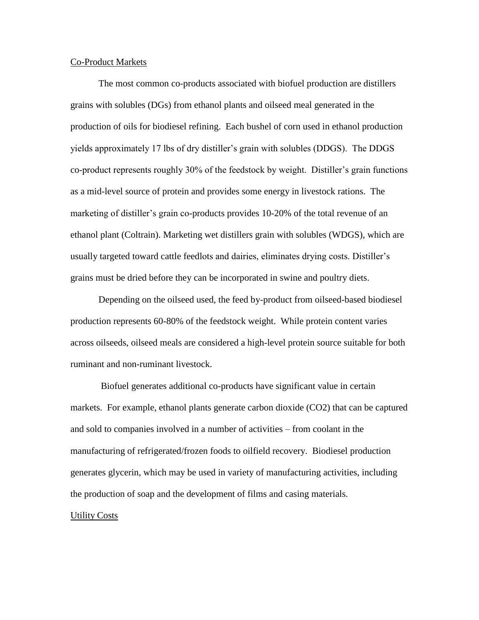# Co-Product Markets

The most common co-products associated with biofuel production are distillers grains with solubles (DGs) from ethanol plants and oilseed meal generated in the production of oils for biodiesel refining. Each bushel of corn used in ethanol production yields approximately 17 lbs of dry distiller's grain with solubles (DDGS). The DDGS co-product represents roughly 30% of the feedstock by weight. Distiller's grain functions as a mid-level source of protein and provides some energy in livestock rations. The marketing of distiller's grain co-products provides 10-20% of the total revenue of an ethanol plant (Coltrain). Marketing wet distillers grain with solubles (WDGS), which are usually targeted toward cattle feedlots and dairies, eliminates drying costs. Distiller's grains must be dried before they can be incorporated in swine and poultry diets.

Depending on the oilseed used, the feed by-product from oilseed-based biodiesel production represents 60-80% of the feedstock weight. While protein content varies across oilseeds, oilseed meals are considered a high-level protein source suitable for both ruminant and non-ruminant livestock.

Biofuel generates additional co-products have significant value in certain markets. For example, ethanol plants generate carbon dioxide (CO2) that can be captured and sold to companies involved in a number of activities – from coolant in the manufacturing of refrigerated/frozen foods to oilfield recovery. Biodiesel production generates glycerin, which may be used in variety of manufacturing activities, including the production of soap and the development of films and casing materials. Utility Costs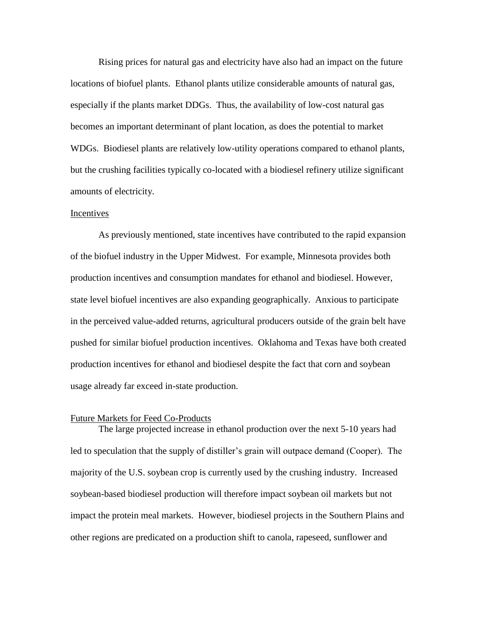Rising prices for natural gas and electricity have also had an impact on the future locations of biofuel plants. Ethanol plants utilize considerable amounts of natural gas, especially if the plants market DDGs. Thus, the availability of low-cost natural gas becomes an important determinant of plant location, as does the potential to market WDGs. Biodiesel plants are relatively low-utility operations compared to ethanol plants, but the crushing facilities typically co-located with a biodiesel refinery utilize significant amounts of electricity.

#### Incentives

As previously mentioned, state incentives have contributed to the rapid expansion of the biofuel industry in the Upper Midwest. For example, Minnesota provides both production incentives and consumption mandates for ethanol and biodiesel. However, state level biofuel incentives are also expanding geographically. Anxious to participate in the perceived value-added returns, agricultural producers outside of the grain belt have pushed for similar biofuel production incentives. Oklahoma and Texas have both created production incentives for ethanol and biodiesel despite the fact that corn and soybean usage already far exceed in-state production.

# Future Markets for Feed Co-Products

The large projected increase in ethanol production over the next 5-10 years had led to speculation that the supply of distiller's grain will outpace demand (Cooper). The majority of the U.S. soybean crop is currently used by the crushing industry. Increased soybean-based biodiesel production will therefore impact soybean oil markets but not impact the protein meal markets. However, biodiesel projects in the Southern Plains and other regions are predicated on a production shift to canola, rapeseed, sunflower and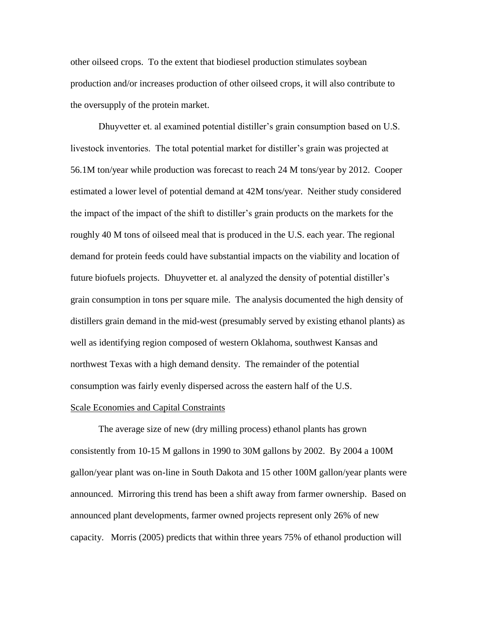other oilseed crops. To the extent that biodiesel production stimulates soybean production and/or increases production of other oilseed crops, it will also contribute to the oversupply of the protein market.

Dhuyvetter et. al examined potential distiller's grain consumption based on U.S. livestock inventories. The total potential market for distiller's grain was projected at 56.1M ton/year while production was forecast to reach 24 M tons/year by 2012. Cooper estimated a lower level of potential demand at 42M tons/year. Neither study considered the impact of the impact of the shift to distiller's grain products on the markets for the roughly 40 M tons of oilseed meal that is produced in the U.S. each year. The regional demand for protein feeds could have substantial impacts on the viability and location of future biofuels projects. Dhuyvetter et. al analyzed the density of potential distiller's grain consumption in tons per square mile. The analysis documented the high density of distillers grain demand in the mid-west (presumably served by existing ethanol plants) as well as identifying region composed of western Oklahoma, southwest Kansas and northwest Texas with a high demand density. The remainder of the potential consumption was fairly evenly dispersed across the eastern half of the U.S.

# Scale Economies and Capital Constraints

The average size of new (dry milling process) ethanol plants has grown consistently from 10-15 M gallons in 1990 to 30M gallons by 2002. By 2004 a 100M gallon/year plant was on-line in South Dakota and 15 other 100M gallon/year plants were announced. Mirroring this trend has been a shift away from farmer ownership. Based on announced plant developments, farmer owned projects represent only 26% of new capacity. Morris (2005) predicts that within three years 75% of ethanol production will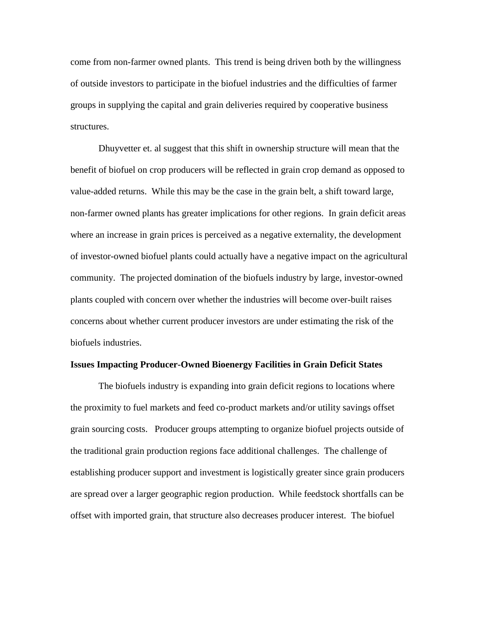come from non-farmer owned plants. This trend is being driven both by the willingness of outside investors to participate in the biofuel industries and the difficulties of farmer groups in supplying the capital and grain deliveries required by cooperative business structures.

Dhuyvetter et. al suggest that this shift in ownership structure will mean that the benefit of biofuel on crop producers will be reflected in grain crop demand as opposed to value-added returns. While this may be the case in the grain belt, a shift toward large, non-farmer owned plants has greater implications for other regions. In grain deficit areas where an increase in grain prices is perceived as a negative externality, the development of investor-owned biofuel plants could actually have a negative impact on the agricultural community. The projected domination of the biofuels industry by large, investor-owned plants coupled with concern over whether the industries will become over-built raises concerns about whether current producer investors are under estimating the risk of the biofuels industries.

### **Issues Impacting Producer-Owned Bioenergy Facilities in Grain Deficit States**

The biofuels industry is expanding into grain deficit regions to locations where the proximity to fuel markets and feed co-product markets and/or utility savings offset grain sourcing costs. Producer groups attempting to organize biofuel projects outside of the traditional grain production regions face additional challenges. The challenge of establishing producer support and investment is logistically greater since grain producers are spread over a larger geographic region production. While feedstock shortfalls can be offset with imported grain, that structure also decreases producer interest. The biofuel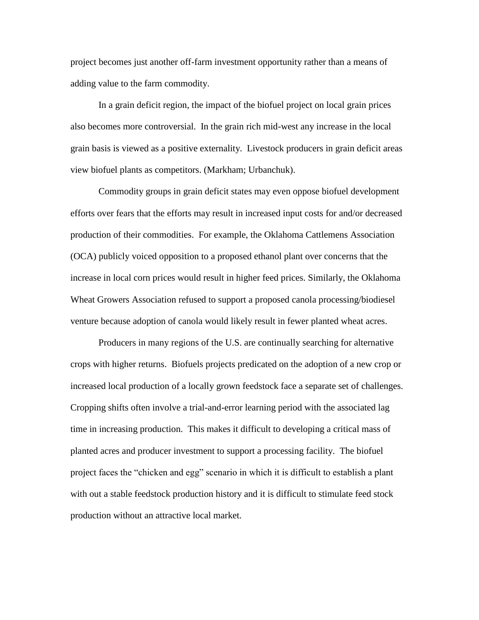project becomes just another off-farm investment opportunity rather than a means of adding value to the farm commodity.

In a grain deficit region, the impact of the biofuel project on local grain prices also becomes more controversial. In the grain rich mid-west any increase in the local grain basis is viewed as a positive externality. Livestock producers in grain deficit areas view biofuel plants as competitors. (Markham; Urbanchuk).

Commodity groups in grain deficit states may even oppose biofuel development efforts over fears that the efforts may result in increased input costs for and/or decreased production of their commodities. For example, the Oklahoma Cattlemens Association (OCA) publicly voiced opposition to a proposed ethanol plant over concerns that the increase in local corn prices would result in higher feed prices. Similarly, the Oklahoma Wheat Growers Association refused to support a proposed canola processing/biodiesel venture because adoption of canola would likely result in fewer planted wheat acres.

Producers in many regions of the U.S. are continually searching for alternative crops with higher returns. Biofuels projects predicated on the adoption of a new crop or increased local production of a locally grown feedstock face a separate set of challenges. Cropping shifts often involve a trial-and-error learning period with the associated lag time in increasing production. This makes it difficult to developing a critical mass of planted acres and producer investment to support a processing facility. The biofuel project faces the "chicken and egg" scenario in which it is difficult to establish a plant with out a stable feedstock production history and it is difficult to stimulate feed stock production without an attractive local market.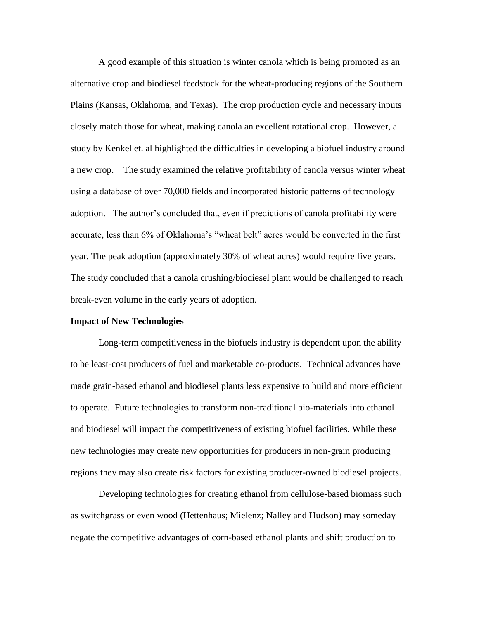A good example of this situation is winter canola which is being promoted as an alternative crop and biodiesel feedstock for the wheat-producing regions of the Southern Plains (Kansas, Oklahoma, and Texas). The crop production cycle and necessary inputs closely match those for wheat, making canola an excellent rotational crop. However, a study by Kenkel et. al highlighted the difficulties in developing a biofuel industry around a new crop. The study examined the relative profitability of canola versus winter wheat using a database of over 70,000 fields and incorporated historic patterns of technology adoption. The author's concluded that, even if predictions of canola profitability were accurate, less than 6% of Oklahoma's "wheat belt" acres would be converted in the first year. The peak adoption (approximately 30% of wheat acres) would require five years. The study concluded that a canola crushing/biodiesel plant would be challenged to reach break-even volume in the early years of adoption.

# **Impact of New Technologies**

Long-term competitiveness in the biofuels industry is dependent upon the ability to be least-cost producers of fuel and marketable co-products. Technical advances have made grain-based ethanol and biodiesel plants less expensive to build and more efficient to operate. Future technologies to transform non-traditional bio-materials into ethanol and biodiesel will impact the competitiveness of existing biofuel facilities. While these new technologies may create new opportunities for producers in non-grain producing regions they may also create risk factors for existing producer-owned biodiesel projects.

Developing technologies for creating ethanol from cellulose-based biomass such as switchgrass or even wood (Hettenhaus; Mielenz; Nalley and Hudson) may someday negate the competitive advantages of corn-based ethanol plants and shift production to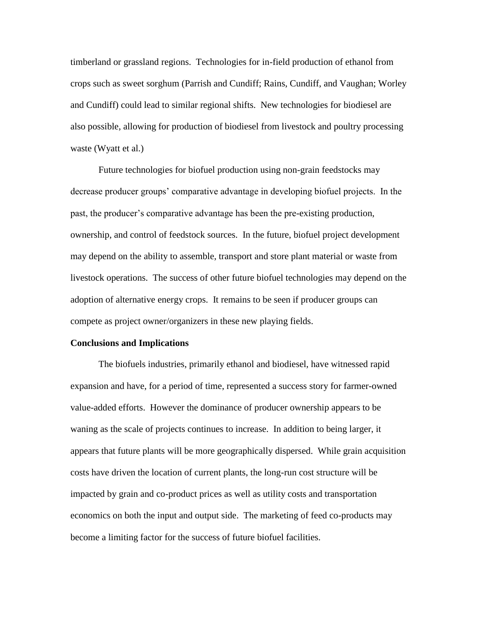timberland or grassland regions. Technologies for in-field production of ethanol from crops such as sweet sorghum (Parrish and Cundiff; Rains, Cundiff, and Vaughan; Worley and Cundiff) could lead to similar regional shifts. New technologies for biodiesel are also possible, allowing for production of biodiesel from livestock and poultry processing waste (Wyatt et al.)

Future technologies for biofuel production using non-grain feedstocks may decrease producer groups' comparative advantage in developing biofuel projects. In the past, the producer's comparative advantage has been the pre-existing production, ownership, and control of feedstock sources. In the future, biofuel project development may depend on the ability to assemble, transport and store plant material or waste from livestock operations. The success of other future biofuel technologies may depend on the adoption of alternative energy crops. It remains to be seen if producer groups can compete as project owner/organizers in these new playing fields.

#### **Conclusions and Implications**

The biofuels industries, primarily ethanol and biodiesel, have witnessed rapid expansion and have, for a period of time, represented a success story for farmer-owned value-added efforts. However the dominance of producer ownership appears to be waning as the scale of projects continues to increase. In addition to being larger, it appears that future plants will be more geographically dispersed. While grain acquisition costs have driven the location of current plants, the long-run cost structure will be impacted by grain and co-product prices as well as utility costs and transportation economics on both the input and output side. The marketing of feed co-products may become a limiting factor for the success of future biofuel facilities.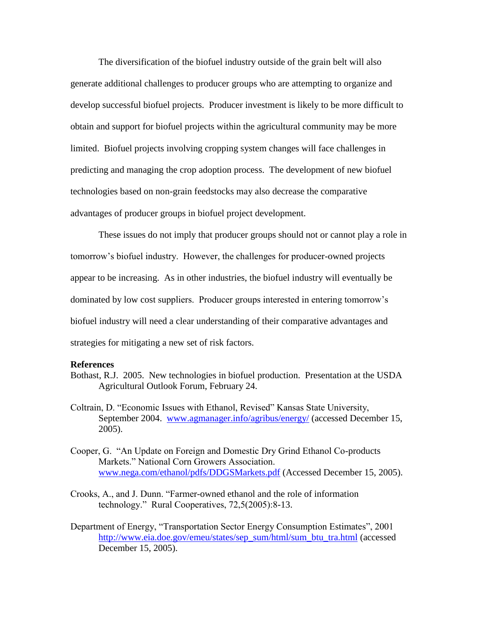The diversification of the biofuel industry outside of the grain belt will also generate additional challenges to producer groups who are attempting to organize and develop successful biofuel projects. Producer investment is likely to be more difficult to obtain and support for biofuel projects within the agricultural community may be more limited. Biofuel projects involving cropping system changes will face challenges in predicting and managing the crop adoption process. The development of new biofuel technologies based on non-grain feedstocks may also decrease the comparative advantages of producer groups in biofuel project development.

These issues do not imply that producer groups should not or cannot play a role in tomorrow's biofuel industry. However, the challenges for producer-owned projects appear to be increasing. As in other industries, the biofuel industry will eventually be dominated by low cost suppliers. Producer groups interested in entering tomorrow's biofuel industry will need a clear understanding of their comparative advantages and strategies for mitigating a new set of risk factors.

#### **References**

- Bothast, R.J. 2005. New technologies in biofuel production. Presentation at the USDA Agricultural Outlook Forum, February 24.
- Coltrain, D. "Economic Issues with Ethanol, Revised" Kansas State University, September 2004. [www.agmanager.info/agribus/energy/](http://www.agmanager.info/agribus/energy/) (accessed December 15, 2005).
- Cooper, G. "An Update on Foreign and Domestic Dry Grind Ethanol Co-products Markets." National Corn Growers Association. [www.nega.com/ethanol/pdfs/DDGSMarkets.pdf](http://www.nega.com/ethanol/pdfs/DDGSMarkets.pdf) (Accessed December 15, 2005).
- Crooks, A., and J. Dunn. "Farmer-owned ethanol and the role of information technology." Rural Cooperatives, 72,5(2005):8-13.
- Department of Energy, "Transportation Sector Energy Consumption Estimates", 2001 [http://www.eia.doe.gov/emeu/states/sep\\_sum/html/sum\\_btu\\_tra.html](http://www.eia.doe.gov/emeu/states/sep_sum/html/sum_btu_tra.html) (accessed December 15, 2005).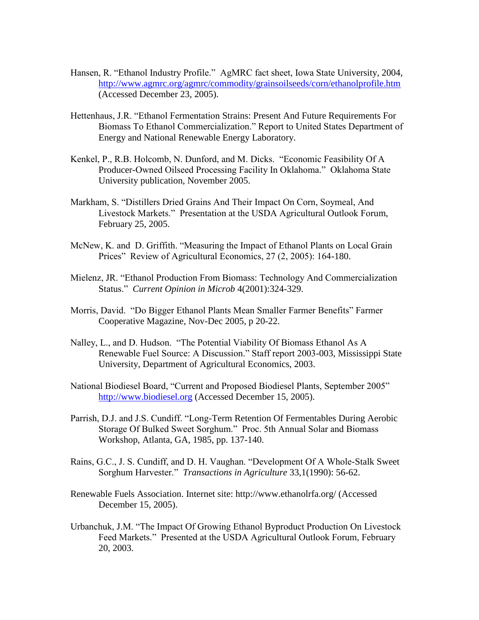- Hansen, R. "Ethanol Industry Profile." AgMRC fact sheet, Iowa State University, 2004, <http://www.agmrc.org/agmrc/commodity/grainsoilseeds/corn/ethanolprofile.htm> (Accessed December 23, 2005).
- Hettenhaus, J.R. "Ethanol Fermentation Strains: Present And Future Requirements For Biomass To Ethanol Commercialization." Report to United States Department of Energy and National Renewable Energy Laboratory.
- Kenkel, P., R.B. Holcomb, N. Dunford, and M. Dicks. "Economic Feasibility Of A Producer-Owned Oilseed Processing Facility In Oklahoma." Oklahoma State University publication, November 2005.
- Markham, S. "Distillers Dried Grains And Their Impact On Corn, Soymeal, And Livestock Markets." Presentation at the USDA Agricultural Outlook Forum, February 25, 2005.
- McNew, K. and D. Griffith. "Measuring the Impact of Ethanol Plants on Local Grain Prices" Review of Agricultural Economics, 27 (2, 2005): 164-180.
- Mielenz, JR. "Ethanol Production From Biomass: Technology And Commercialization Status." *Current Opinion in Microb* 4(2001):324-329.
- Morris, David. "Do Bigger Ethanol Plants Mean Smaller Farmer Benefits" Farmer Cooperative Magazine, Nov-Dec 2005, p 20-22.
- Nalley, L., and D. Hudson. "The Potential Viability Of Biomass Ethanol As A Renewable Fuel Source: A Discussion." Staff report 2003-003, Mississippi State University, Department of Agricultural Economics, 2003.
- National Biodiesel Board, "Current and Proposed Biodiesel Plants, September 2005" [http://www.biodiesel.org](http://www.biodiesel.org/) (Accessed December 15, 2005).
- Parrish, D.J. and J.S. Cundiff. "Long-Term Retention Of Fermentables During Aerobic Storage Of Bulked Sweet Sorghum." Proc. 5th Annual Solar and Biomass Workshop, Atlanta, GA, 1985, pp. 137-140.
- Rains, G.C., J. S. Cundiff, and D. H. Vaughan. "Development Of A Whole-Stalk Sweet Sorghum Harvester." *Transactions in Agriculture* 33,1(1990): 56-62.
- Renewable Fuels Association. Internet site: http://www.ethanolrfa.org/ (Accessed December 15, 2005).
- Urbanchuk, J.M. "The Impact Of Growing Ethanol Byproduct Production On Livestock Feed Markets." Presented at the USDA Agricultural Outlook Forum, February 20, 2003.